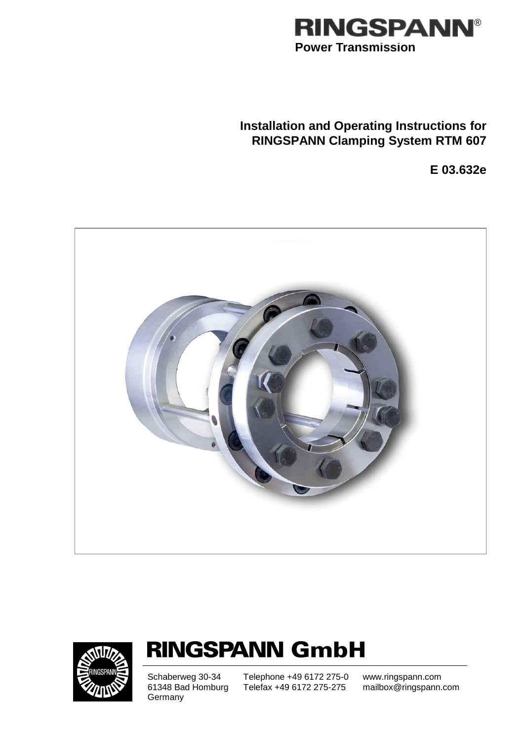

# **Installation and Operating Instructions for RINGSPANN Clamping System RTM 607**

**E 03.632e**





# **RINGSPANN GmbH**

**Germany** 

Schaberweg 30-34 Telephone +49 6172 275-0<br>61348 Bad Homburg Telefax +49 6172 275-275 Telefax +49 6172 275-275

www.ringspann.com mailbox@ringspann.com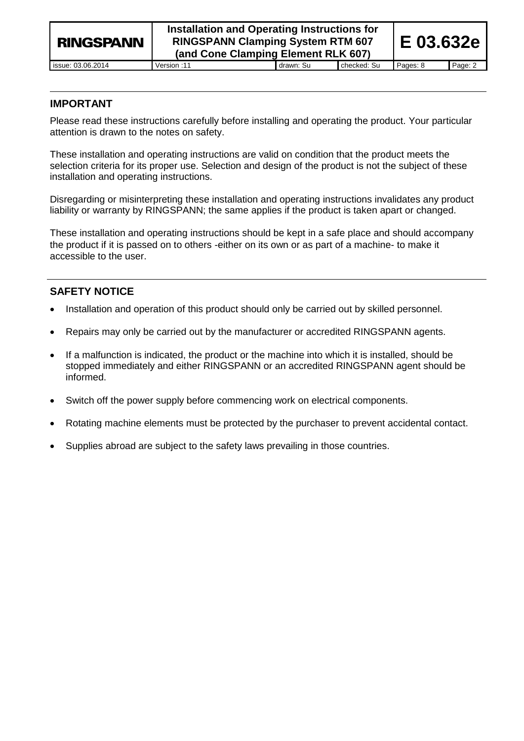| <b>RINGSPANN</b>  | Installation and Operating Instructions for<br><b>RINGSPANN Clamping System RTM 607</b><br>(and Cone Clamping Element RLK 607) |           |             |          | E 03.632e |
|-------------------|--------------------------------------------------------------------------------------------------------------------------------|-----------|-------------|----------|-----------|
| issue: 03.06.2014 | Version :11                                                                                                                    | drawn: Su | checked: Su | Pages: 8 | Page: 2   |

# **IMPORTANT**

Please read these instructions carefully before installing and operating the product. Your particular attention is drawn to the notes on safety.

These installation and operating instructions are valid on condition that the product meets the selection criteria for its proper use. Selection and design of the product is not the subject of these installation and operating instructions.

Disregarding or misinterpreting these installation and operating instructions invalidates any product liability or warranty by RINGSPANN; the same applies if the product is taken apart or changed.

These installation and operating instructions should be kept in a safe place and should accompany the product if it is passed on to others -either on its own or as part of a machine- to make it accessible to the user.

# **SAFETY NOTICE**

- Installation and operation of this product should only be carried out by skilled personnel.
- Repairs may only be carried out by the manufacturer or accredited RINGSPANN agents.
- If a malfunction is indicated, the product or the machine into which it is installed, should be stopped immediately and either RINGSPANN or an accredited RINGSPANN agent should be informed.
- Switch off the power supply before commencing work on electrical components.
- Rotating machine elements must be protected by the purchaser to prevent accidental contact.
- Supplies abroad are subject to the safety laws prevailing in those countries.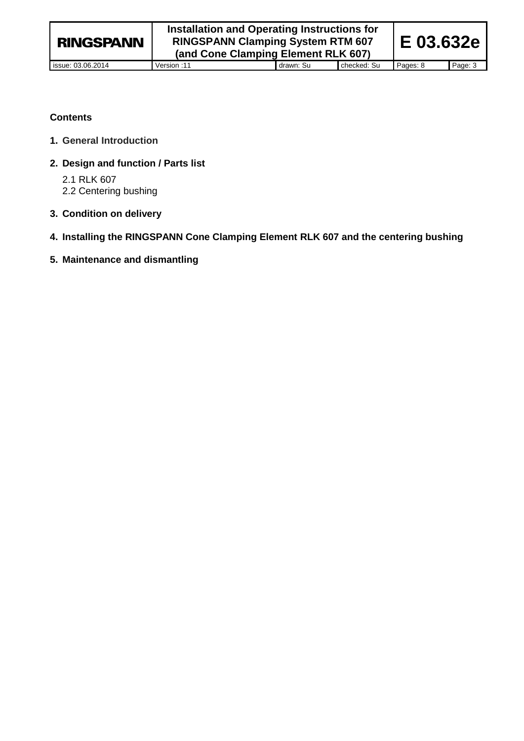### **Contents**

- **1. General Introduction**
- **2. Design and function / Parts list**

2.1 RLK 607 2.2 Centering bushing

- **3. Condition on delivery**
- **4. Installing the RINGSPANN Cone Clamping Element RLK 607 and the centering bushing**
- **5. Maintenance and dismantling**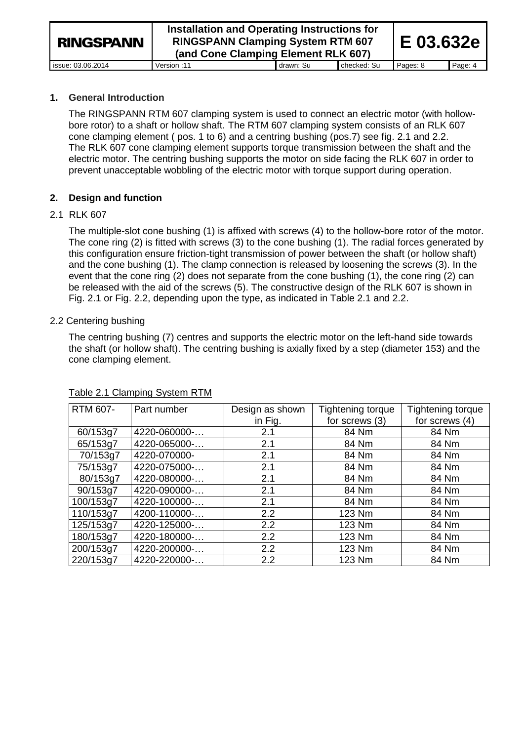| <b>RINGSPANN</b>  | Installation and Operating Instructions for<br><b>RINGSPANN Clamping System RTM 607</b><br>(and Cone Clamping Element RLK 607) |           |             | IE 03.632e |         |
|-------------------|--------------------------------------------------------------------------------------------------------------------------------|-----------|-------------|------------|---------|
| issue: 03.06.2014 | Version: 11                                                                                                                    | drawn: Su | checked: Su | Pages: 8   | Page: 4 |

### **1. General Introduction**

The RINGSPANN RTM 607 clamping system is used to connect an electric motor (with hollowbore rotor) to a shaft or hollow shaft. The RTM 607 clamping system consists of an RLK 607 cone clamping element ( pos. 1 to 6) and a centring bushing (pos.7) see fig. 2.1 and 2.2. The RLK 607 cone clamping element supports torque transmission between the shaft and the electric motor. The centring bushing supports the motor on side facing the RLK 607 in order to prevent unacceptable wobbling of the electric motor with torque support during operation.

### **2. Design and function**

### 2.1 RLK 607

The multiple-slot cone bushing (1) is affixed with screws (4) to the hollow-bore rotor of the motor. The cone ring (2) is fitted with screws (3) to the cone bushing (1). The radial forces generated by this configuration ensure friction-tight transmission of power between the shaft (or hollow shaft) and the cone bushing (1). The clamp connection is released by loosening the screws (3). In the event that the cone ring (2) does not separate from the cone bushing (1), the cone ring (2) can be released with the aid of the screws (5). The constructive design of the RLK 607 is shown in Fig. 2.1 or Fig. 2.2, depending upon the type, as indicated in Table 2.1 and 2.2.

### 2.2 Centering bushing

The centring bushing (7) centres and supports the electric motor on the left-hand side towards the shaft (or hollow shaft). The centring bushing is axially fixed by a step (diameter 153) and the cone clamping element.

| RTM 607-  | Part number  | Design as shown | Tightening torque | Tightening torque |
|-----------|--------------|-----------------|-------------------|-------------------|
|           |              | in Fig.         | for screws (3)    | for screws (4)    |
| 60/153g7  | 4220-060000- | 2.1             | 84 Nm             | 84 Nm             |
| 65/153g7  | 4220-065000- | 2.1             | 84 Nm             | 84 Nm             |
| 70/153g7  | 4220-070000- | 2.1             | 84 Nm             | 84 Nm             |
| 75/153g7  | 4220-075000- | 2.1             | 84 Nm             | 84 Nm             |
| 80/153g7  | 4220-080000- | 2.1             | 84 Nm             | 84 Nm             |
| 90/153g7  | 4220-090000- | 2.1             | 84 Nm             | 84 Nm             |
| 100/153g7 | 4220-100000- | 2.1             | 84 Nm             | 84 Nm             |
| 110/153g7 | 4200-110000- | 2.2             | 123 Nm            | 84 Nm             |
| 125/153g7 | 4220-125000- | 2.2             | 123 Nm            | 84 Nm             |
| 180/153g7 | 4220-180000- | 2.2             | 123 Nm            | 84 Nm             |
| 200/153g7 | 4220-200000- | 2.2             | 123 Nm            | 84 Nm             |
| 220/153g7 | 4220-220000- | 2.2             | 123 Nm            | 84 Nm             |

#### Table 2.1 Clamping System RTM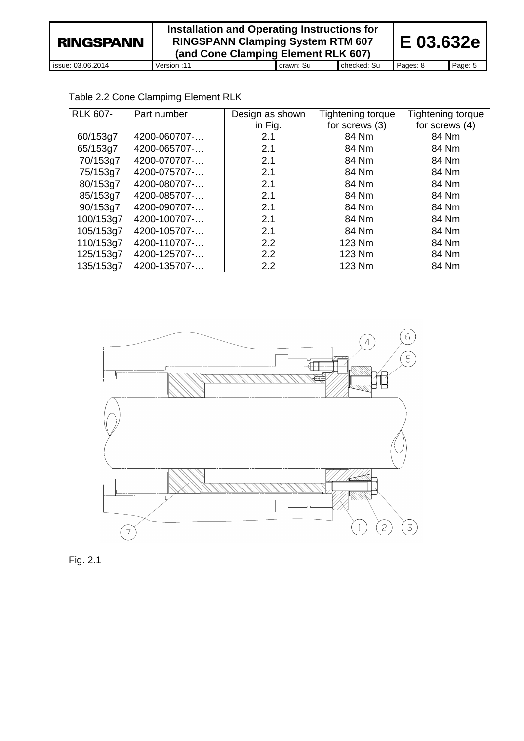| <b>RINGSPANN</b>  | Installation and Operating Instructions for<br><b>RINGSPANN Clamping System RTM 607</b><br>(and Cone Clamping Element RLK 607) |           |             | <b>E</b> 03.632e |         |
|-------------------|--------------------------------------------------------------------------------------------------------------------------------|-----------|-------------|------------------|---------|
| issue: 03.06.2014 | 11: Version                                                                                                                    | drawn: Su | checked: Su | Pages: 8         | Page: 5 |

# Table 2.2 Cone Clampimg Element RLK

| <b>RLK 607-</b> | Part number  | Design as shown | Tightening torque | Tightening torque |
|-----------------|--------------|-----------------|-------------------|-------------------|
|                 |              | in Fig.         | for screws (3)    | for screws (4)    |
| 60/153g7        | 4200-060707- | 2.1             | 84 Nm             | 84 Nm             |
| 65/153g7        | 4200-065707- | 2.1             | 84 Nm             | 84 Nm             |
| 70/153g7        | 4200-070707- | 2.1             | 84 Nm             | 84 Nm             |
| 75/153g7        | 4200-075707- | 2.1             | 84 Nm             | 84 Nm             |
| 80/153g7        | 4200-080707- | 2.1             | 84 Nm             | 84 Nm             |
| 85/153g7        | 4200-085707- | 2.1             | 84 Nm             | 84 Nm             |
| 90/153g7        | 4200-090707- | 2.1             | 84 Nm             | 84 Nm             |
| 100/153g7       | 4200-100707- | 2.1             | 84 Nm             | 84 Nm             |
| 105/153g7       | 4200-105707- | 2.1             | 84 Nm             | 84 Nm             |
| 110/153g7       | 4200-110707- | 2.2             | 123 Nm            | 84 Nm             |
| 125/153g7       | 4200-125707- | 2.2             | 123 Nm            | 84 Nm             |
| 135/153g7       | 4200-135707- | 2.2             | 123 Nm            | 84 Nm             |



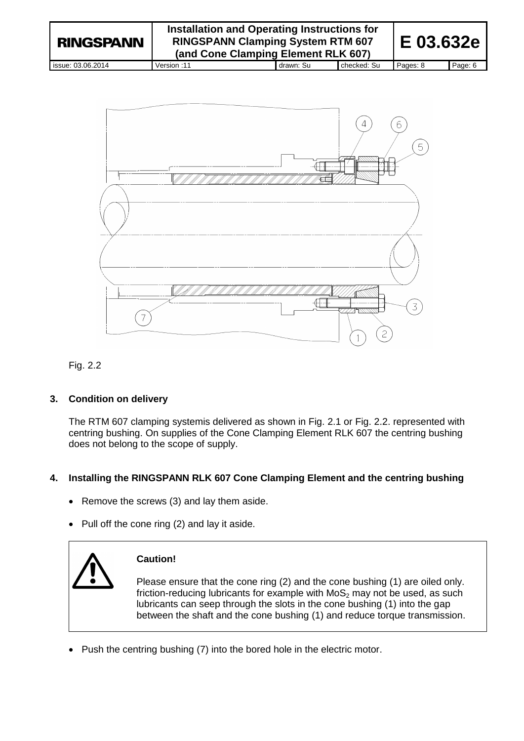| <b>RINGSPANN</b>  | Installation and Operating Instructions for<br><b>RINGSPANN Clamping System RTM 607</b><br>(and Cone Clamping Element RLK 607) |           |             | E 03.632e |         |
|-------------------|--------------------------------------------------------------------------------------------------------------------------------|-----------|-------------|-----------|---------|
| issue: 03.06.2014 | 11: Version                                                                                                                    | drawn: Su | checked: Su | Pages: 8  | Page: 6 |





# **3. Condition on delivery**

The RTM 607 clamping systemis delivered as shown in Fig. 2.1 or Fig. 2.2. represented with centring bushing. On supplies of the Cone Clamping Element RLK 607 the centring bushing does not belong to the scope of supply.

# **4. Installing the RINGSPANN RLK 607 Cone Clamping Element and the centring bushing**

- Remove the screws (3) and lay them aside.
- $\bullet$  Pull off the cone ring (2) and lay it aside.



# **Caution!**

Please ensure that the cone ring (2) and the cone bushing (1) are oiled only. friction-reducing lubricants for example with  $MoS<sub>2</sub>$  may not be used, as such lubricants can seep through the slots in the cone bushing (1) into the gap between the shaft and the cone bushing (1) and reduce torque transmission.

• Push the centring bushing (7) into the bored hole in the electric motor.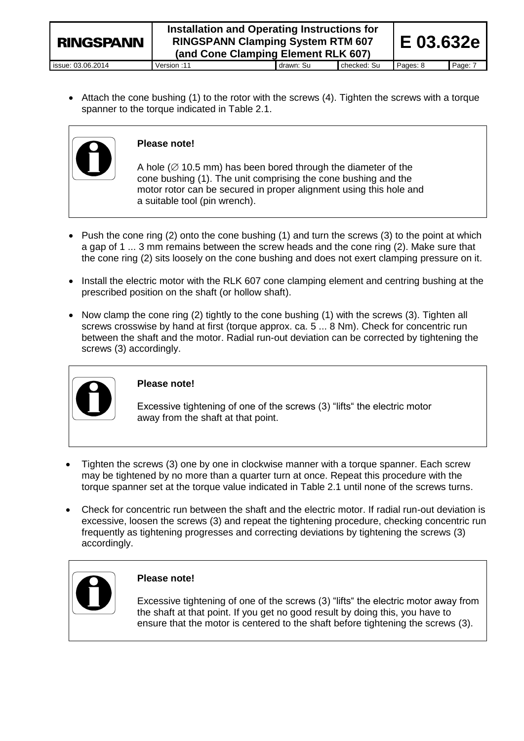| <b>RINGSPANN</b>  | Installation and Operating Instructions for<br><b>RINGSPANN Clamping System RTM 607</b><br>(and Cone Clamping Element RLK 607) | IE 03.632e |             |          |         |
|-------------------|--------------------------------------------------------------------------------------------------------------------------------|------------|-------------|----------|---------|
| issue: 03.06.2014 | Version: 11                                                                                                                    | drawn: Su  | checked: Su | Pages: 8 | Page: 7 |

 Attach the cone bushing (1) to the rotor with the screws (4). Tighten the screws with a torque spanner to the torque indicated in Table 2.1.



### **Please note!**

A hole ( $\varnothing$  10.5 mm) has been bored through the diameter of the cone bushing (1). The unit comprising the cone bushing and the motor rotor can be secured in proper alignment using this hole and a suitable tool (pin wrench).

- Push the cone ring (2) onto the cone bushing (1) and turn the screws (3) to the point at which a gap of 1 ... 3 mm remains between the screw heads and the cone ring (2). Make sure that the cone ring (2) sits loosely on the cone bushing and does not exert clamping pressure on it.
- Install the electric motor with the RLK 607 cone clamping element and centring bushing at the prescribed position on the shaft (or hollow shaft).
- Now clamp the cone ring  $(2)$  tightly to the cone bushing  $(1)$  with the screws  $(3)$ . Tighten all screws crosswise by hand at first (torque approx. ca. 5 ... 8 Nm). Check for concentric run between the shaft and the motor. Radial run-out deviation can be corrected by tightening the screws (3) accordingly.



# **Please note!**

Excessive tightening of one of the screws (3) "lifts" the electric motor away from the shaft at that point.

- Tighten the screws (3) one by one in clockwise manner with a torque spanner. Each screw may be tightened by no more than a quarter turn at once. Repeat this procedure with the torque spanner set at the torque value indicated in Table 2.1 until none of the screws turns.
- Check for concentric run between the shaft and the electric motor. If radial run-out deviation is excessive, loosen the screws (3) and repeat the tightening procedure, checking concentric run frequently as tightening progresses and correcting deviations by tightening the screws (3) accordingly.



# **Please note!**

Excessive tightening of one of the screws (3) "lifts" the electric motor away from the shaft at that point. If you get no good result by doing this, you have to ensure that the motor is centered to the shaft before tightening the screws (3).